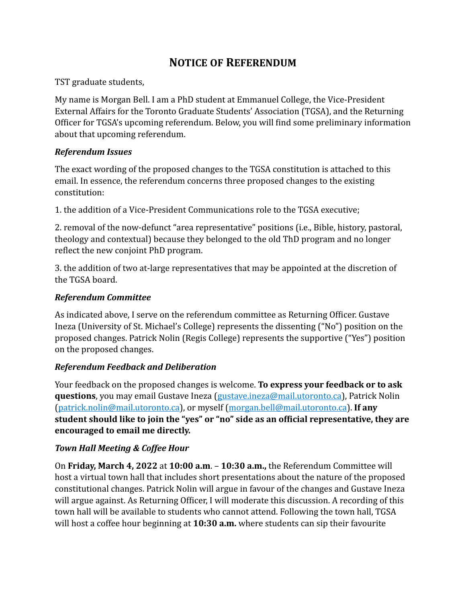# **NOTICE OF REFERENDUM**

TST graduate students,

My name is Morgan Bell. I am a PhD student at Emmanuel College, the Vice-President External Affairs for the Toronto Graduate Students' Association (TGSA), and the Returning Officer for TGSA's upcoming referendum. Below, you will find some preliminary information about that upcoming referendum.

#### *Referendum Issues*

The exact wording of the proposed changes to the TGSA constitution is attached to this email. In essence, the referendum concerns three proposed changes to the existing constitution:

1. the addition of a Vice-President Communications role to the TGSA executive;

2. removal of the now-defunct "area representative" positions (i.e., Bible, history, pastoral, theology and contextual) because they belonged to the old ThD program and no longer reflect the new conjoint PhD program.

3. the addition of two at-large representatives that may be appointed at the discretion of the TGSA board.

#### *Referendum Committee*

As indicated above, I serve on the referendum committee as Returning Officer. Gustave Ineza (University of St. Michael's College) represents the dissenting ("No") position on the proposed changes. Patrick Nolin (Regis College) represents the supportive ("Yes") position on the proposed changes.

### *Referendum Feedback and Deliberation*

Your feedback on the proposed changes is welcome. To express your feedback or to ask **questions**, you may email Gustave Ineza ([gustave.ineza@mail.utoronto.ca\)](mailto:gustave.ineza@mail.utoronto.ca), Patrick Nolin ([patrick.nolin@mail.utoronto.ca](mailto:patrick.nolin@mail.utoronto.ca)), or myself ([morgan.bell@mail.utoronto.ca\)](mailto:morgan.bell@mail.utoronto.ca). If any student should like to join the "yes" or "no" side as an official representative, they are encouraged to email me directly.

### **Town Hall Meeting & Coffee Hour**

On Friday, March 4, 2022 at 10:00 a.m. - 10:30 a.m., the Referendum Committee will host a virtual town hall that includes short presentations about the nature of the proposed constitutional changes. Patrick Nolin will argue in favour of the changes and Gustave Ineza will argue against. As Returning Officer, I will moderate this discussion. A recording of this town hall will be available to students who cannot attend. Following the town hall, TGSA will host a coffee hour beginning at 10:30 a.m. where students can sip their favourite